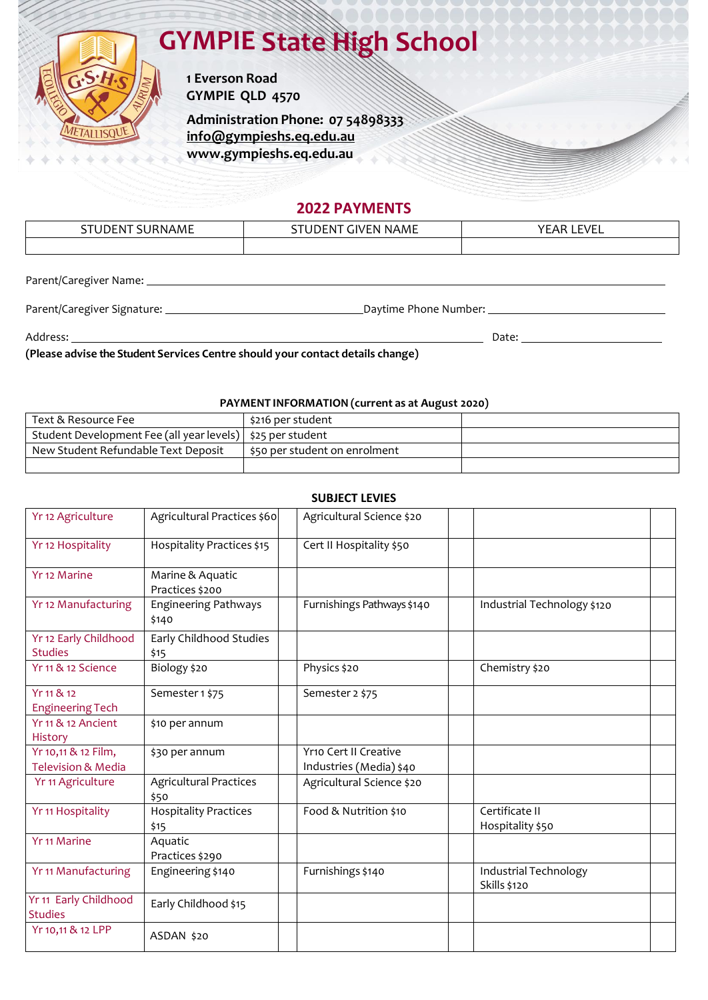# **GYMPIE State High School**



**1 Everson Road GYMPIE QLD 4570**

**Administration Phone: 07 [54898333](http://www.gympieshs.eq.edu.au/) [info@gympieshs.eq.edu.au](mailto:info@gympieshs.eq.edu.au) [www.gympieshs.eq.edu.au](http://www.gympieshs.eq.edu.au/)**

### **2022 PAYMENTS**

| $\sim$ $\sim$<br>--<br>w<br>NL<br>. . | ∵NAML<br>w | EV IET<br>. v r<br>-- |
|---------------------------------------|------------|-----------------------|
|                                       |            |                       |

Parent/Caregiver Name:

Parent/Caregiver Signature: Daytime Phone Number:

Address: \_\_

**Date:** 2014 **Date:** 2014 **Date:** 2014 **Date:** 2014 **Date:** 2014 **Date:** 2014 **Date:** 2014 **Date:** 2014 **Date:** 2014 **Date:** 2014 **Date:** 2014 **Date:** 2014 **Date:** 2014 **Date:** 2014 **Date:** 2014 **Date:** 2014 **Date:** 2014

### **(Please advise the Student Services Centre should your contact details change)**

#### **PAYMENT INFORMATION (current as at August 2020)**

| Text & Resource Fee                                          | \$216 per student             |  |
|--------------------------------------------------------------|-------------------------------|--|
| Student Development Fee (all year levels)   \$25 per student |                               |  |
| New Student Refundable Text Deposit                          | \$50 per student on enrolment |  |
|                                                              |                               |  |

| <b>SUBJECT LEVIES</b>                                |                                       |                                                  |                                       |  |  |  |
|------------------------------------------------------|---------------------------------------|--------------------------------------------------|---------------------------------------|--|--|--|
| Yr 12 Agriculture                                    | Agricultural Practices \$60           | Agricultural Science \$20                        |                                       |  |  |  |
| Yr 12 Hospitality                                    | Hospitality Practices \$15            | Cert II Hospitality \$50                         |                                       |  |  |  |
| Yr 12 Marine                                         | Marine & Aquatic<br>Practices \$200   |                                                  |                                       |  |  |  |
| Yr 12 Manufacturing                                  | <b>Engineering Pathways</b><br>\$140  | Furnishings Pathways \$140                       | Industrial Technology \$120           |  |  |  |
| Yr 12 Early Childhood<br><b>Studies</b>              | Early Childhood Studies<br>\$15       |                                                  |                                       |  |  |  |
| Yr 11 & 12 Science                                   | Biology \$20                          | Physics \$20                                     | Chemistry \$20                        |  |  |  |
| Yr 11 & 12<br><b>Engineering Tech</b>                | Semester 1 \$75                       | Semester 2 \$75                                  |                                       |  |  |  |
| Yr 11 & 12 Ancient<br>History                        | \$10 per annum                        |                                                  |                                       |  |  |  |
| Yr 10,11 & 12 Film,<br><b>Television &amp; Media</b> | \$30 per annum                        | Yr10 Cert II Creative<br>Industries (Media) \$40 |                                       |  |  |  |
| Yr 11 Agriculture                                    | <b>Agricultural Practices</b><br>\$50 | Agricultural Science \$20                        |                                       |  |  |  |
| Yr 11 Hospitality                                    | <b>Hospitality Practices</b><br>\$15  | Food & Nutrition \$10                            | Certificate II<br>Hospitality \$50    |  |  |  |
| <b>Yr 11 Marine</b>                                  | Aquatic<br>Practices \$290            |                                                  |                                       |  |  |  |
| <b>Yr 11 Manufacturing</b>                           | Engineering \$140                     | Furnishings \$140                                | Industrial Technology<br>Skills \$120 |  |  |  |
| Yr 11 Early Childhood<br><b>Studies</b>              | Early Childhood \$15                  |                                                  |                                       |  |  |  |
| Yr 10,11 & 12 LPP                                    | ASDAN \$20                            |                                                  |                                       |  |  |  |